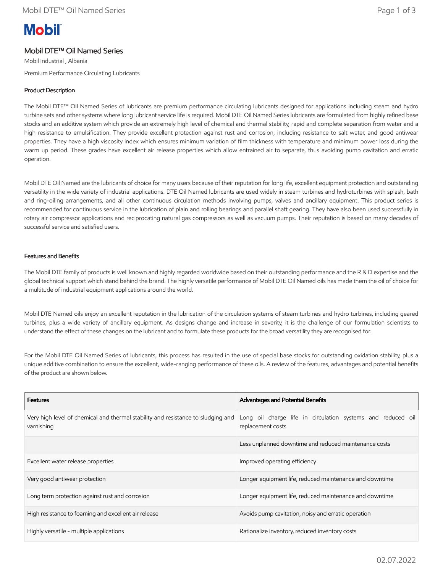# **Mobil**

## Mobil DTE™ Oil Named Series

Mobil Industrial , Albania Premium Performance Circulating Lubricants

### Product Description

The Mobil DTE™ Oil Named Series of lubricants are premium performance circulating lubricants designed for applications including steam and hydro turbine sets and other systems where long lubricant service life is required. Mobil DTE Oil Named Series lubricants are formulated from highly refined base stocks and an additive system which provide an extremely high level of chemical and thermal stability, rapid and complete separation from water and a high resistance to emulsification. They provide excellent protection against rust and corrosion, including resistance to salt water, and good antiwear properties. They have a high viscosity index which ensures minimum variation of film thickness with temperature and minimum power loss during the warm up period. These grades have excellent air release properties which allow entrained air to separate, thus avoiding pump cavitation and erratic operation.

Mobil DTE Oil Named are the lubricants of choice for many users because of their reputation for long life, excellent equipment protection and outstanding versatility in the wide variety of industrial applications. DTE Oil Named lubricants are used widely in steam turbines and hydroturbines with splash, bath and ring-oiling arrangements, and all other continuous circulation methods involving pumps, valves and ancillary equipment. This product series is recommended for continuous service in the lubrication of plain and rolling bearings and parallel shaft gearing. They have also been used successfully in rotary air compressor applications and reciprocating natural gas compressors as well as vacuum pumps. Their reputation is based on many decades of successful service and satisfied users.

#### Features and Benefits

The Mobil DTE family of products is well known and highly regarded worldwide based on their outstanding performance and the R & D expertise and the global technical support which stand behind the brand. The highly versatile performance of Mobil DTE Oil Named oils has made them the oil of choice for a multitude of industrial equipment applications around the world.

Mobil DTE Named oils enjoy an excellent reputation in the lubrication of the circulation systems of steam turbines and hydro turbines, including geared turbines, plus a wide variety of ancillary equipment. As designs change and increase in severity, it is the challenge of our formulation scientists to understand the effect of these changes on the lubricant and to formulate these products for the broad versatility they are recognised for.

For the Mobil DTE Oil Named Series of lubricants, this process has resulted in the use of special base stocks for outstanding oxidation stability, plus a unique additive combination to ensure the excellent, wide-ranging performance of these oils. A review of the features, advantages and potential benefits of the product are shown below.

| <b>Features</b>                                                                                | Advantages and Potential Benefits                                                |
|------------------------------------------------------------------------------------------------|----------------------------------------------------------------------------------|
| Very high level of chemical and thermal stability and resistance to sludging and<br>varnishing | Long oil charge life in circulation systems and reduced oil<br>replacement costs |
|                                                                                                | Less unplanned downtime and reduced maintenance costs                            |
| Excellent water release properties                                                             | Improved operating efficiency                                                    |
| Very good antiwear protection                                                                  | Longer equipment life, reduced maintenance and downtime                          |
| Long term protection against rust and corrosion                                                | Longer equipment life, reduced maintenance and downtime                          |
| High resistance to foaming and excellent air release                                           | Avoids pump cavitation, noisy and erratic operation                              |
| Highly versatile - multiple applications                                                       | Rationalize inventory, reduced inventory costs                                   |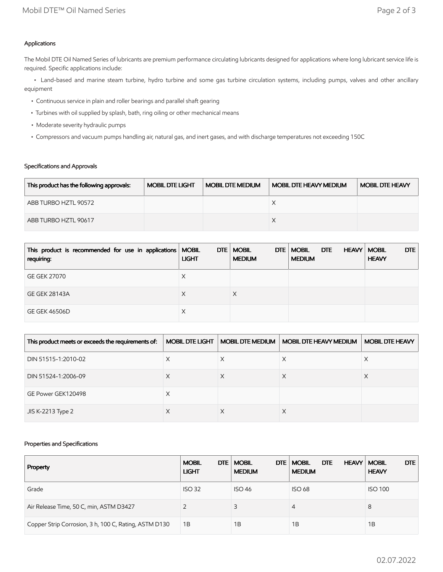## Applications

The Mobil DTE Oil Named Series of lubricants are premium performance circulating lubricants designed for applications where long lubricant service life is required. Specific applications include:

 • Land-based and marine steam turbine, hydro turbine and some gas turbine circulation systems, including pumps, valves and other ancillary equipment

- Continuous service in plain and roller bearings and parallel shaft gearing
- Turbines with oil supplied by splash, bath, ring oiling or other mechanical means
- Moderate severity hydraulic pumps
- Compressors and vacuum pumps handling air, natural gas, and inert gases, and with discharge temperatures not exceeding 150C

## Specifications and Approvals

| This product has the following approvals: | <b>MOBIL DTE LIGHT</b> | <b>MOBIL DTE MEDIUM</b> | <b>MOBIL DTE HEAVY MEDIUM</b> | <b>MOBIL DTE HEAVY</b> |
|-------------------------------------------|------------------------|-------------------------|-------------------------------|------------------------|
| ABB TURBO HZTL 90572                      |                        |                         |                               |                        |
| ABB TURBO HZTL 90617                      |                        |                         |                               |                        |

| This product is recommended for use in applications   MOBIL<br>requiring: | <b>LIGHT</b> | DTE   MOBIL<br>DTE<br><b>MEDIUM</b> | <b>MOBIL</b><br>DTE<br><b>MEDIUM</b> | DTE<br><b>HEAVY   MOBIL</b><br><b>HEAVY</b> |
|---------------------------------------------------------------------------|--------------|-------------------------------------|--------------------------------------|---------------------------------------------|
| <b>GE GEK 27070</b>                                                       | Х            |                                     |                                      |                                             |
| <b>GE GEK 28143A</b>                                                      | X            |                                     |                                      |                                             |
| <b>GE GEK 46506D</b>                                                      | Х            |                                     |                                      |                                             |

| This product meets or exceeds the requirements of: | <b>MOBIL DTE LIGHT</b> | <b>MOBIL DTE MEDIUM</b> | <b>MOBIL DTE HEAVY MEDIUM</b> | <b>MOBIL DTE HEAVY</b> |
|----------------------------------------------------|------------------------|-------------------------|-------------------------------|------------------------|
| DIN 51515-1:2010-02                                | X                      | X                       | X                             | Х                      |
| DIN 51524-1:2006-09                                | X                      |                         |                               |                        |
| GE Power GEK120498                                 | X                      |                         |                               |                        |
| JIS K-2213 Type 2                                  | ⋏                      |                         | ∧                             |                        |

### Properties and Specifications

| Property                                              | DTE<br><b>MOBIL</b><br><b>LIGHT</b> | <b>MOBIL</b><br>DTE  <br><b>MEDIUM</b> | DTE<br><b>MOBIL</b><br><b>HEAVY</b><br><b>MEDIUM</b> | DTE<br><b>MOBIL</b><br><b>HEAVY</b> |
|-------------------------------------------------------|-------------------------------------|----------------------------------------|------------------------------------------------------|-------------------------------------|
| Grade                                                 | <b>ISO 32</b>                       | <b>ISO 46</b>                          | <b>ISO 68</b>                                        | <b>ISO 100</b>                      |
| Air Release Time, 50 C, min, ASTM D3427               |                                     |                                        | 4                                                    | 8                                   |
| Copper Strip Corrosion, 3 h, 100 C, Rating, ASTM D130 | 1B                                  | 1B                                     | 1Β                                                   | 1B                                  |